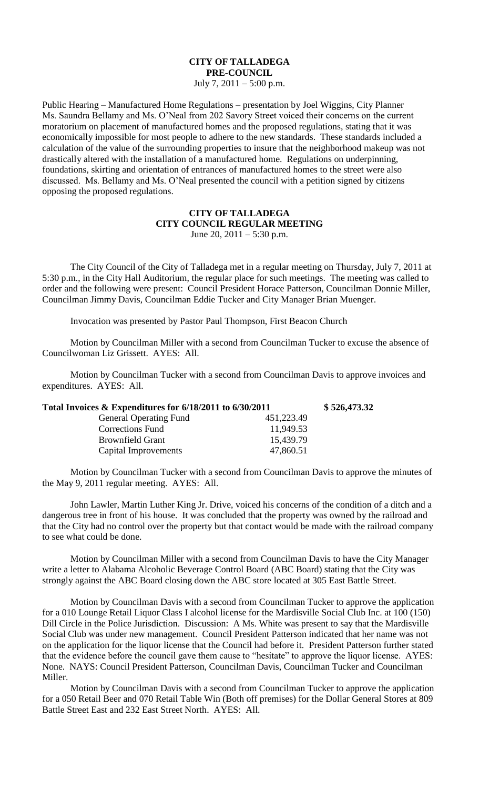## **CITY OF TALLADEGA PRE-COUNCIL** July 7,  $2011 - 5:00$  p.m.

Public Hearing – Manufactured Home Regulations – presentation by Joel Wiggins, City Planner Ms. Saundra Bellamy and Ms. O'Neal from 202 Savory Street voiced their concerns on the current moratorium on placement of manufactured homes and the proposed regulations, stating that it was economically impossible for most people to adhere to the new standards. These standards included a calculation of the value of the surrounding properties to insure that the neighborhood makeup was not drastically altered with the installation of a manufactured home. Regulations on underpinning, foundations, skirting and orientation of entrances of manufactured homes to the street were also discussed. Ms. Bellamy and Ms. O'Neal presented the council with a petition signed by citizens opposing the proposed regulations.

## **CITY OF TALLADEGA CITY COUNCIL REGULAR MEETING** June 20,  $2011 - 5:30$  p.m.

The City Council of the City of Talladega met in a regular meeting on Thursday, July 7, 2011 at 5:30 p.m., in the City Hall Auditorium, the regular place for such meetings. The meeting was called to order and the following were present: Council President Horace Patterson, Councilman Donnie Miller, Councilman Jimmy Davis, Councilman Eddie Tucker and City Manager Brian Muenger.

Invocation was presented by Pastor Paul Thompson, First Beacon Church

Motion by Councilman Miller with a second from Councilman Tucker to excuse the absence of Councilwoman Liz Grissett. AYES: All.

Motion by Councilman Tucker with a second from Councilman Davis to approve invoices and expenditures. AYES: All.

|            | \$526,473.32                                             |
|------------|----------------------------------------------------------|
| 451,223.49 |                                                          |
| 11,949.53  |                                                          |
| 15,439.79  |                                                          |
| 47,860.51  |                                                          |
|            | Total Invoices & Expenditures for 6/18/2011 to 6/30/2011 |

Motion by Councilman Tucker with a second from Councilman Davis to approve the minutes of the May 9, 2011 regular meeting. AYES: All.

John Lawler, Martin Luther King Jr. Drive, voiced his concerns of the condition of a ditch and a dangerous tree in front of his house. It was concluded that the property was owned by the railroad and that the City had no control over the property but that contact would be made with the railroad company to see what could be done.

Motion by Councilman Miller with a second from Councilman Davis to have the City Manager write a letter to Alabama Alcoholic Beverage Control Board (ABC Board) stating that the City was strongly against the ABC Board closing down the ABC store located at 305 East Battle Street.

Motion by Councilman Davis with a second from Councilman Tucker to approve the application for a 010 Lounge Retail Liquor Class I alcohol license for the Mardisville Social Club Inc. at 100 (150) Dill Circle in the Police Jurisdiction. Discussion: A Ms. White was present to say that the Mardisville Social Club was under new management. Council President Patterson indicated that her name was not on the application for the liquor license that the Council had before it. President Patterson further stated that the evidence before the council gave them cause to "hesitate" to approve the liquor license. AYES: None. NAYS: Council President Patterson, Councilman Davis, Councilman Tucker and Councilman Miller.

Motion by Councilman Davis with a second from Councilman Tucker to approve the application for a 050 Retail Beer and 070 Retail Table Win (Both off premises) for the Dollar General Stores at 809 Battle Street East and 232 East Street North. AYES: All.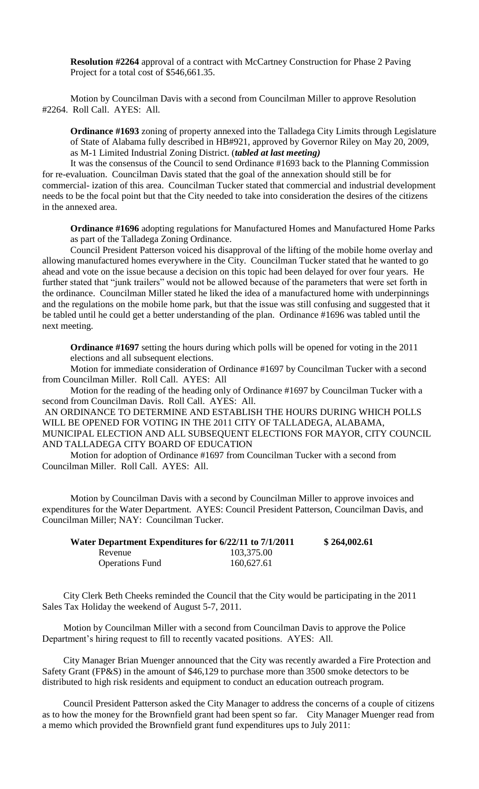**Resolution #2264** approval of a contract with McCartney Construction for Phase 2 Paving Project for a total cost of \$546,661.35.

Motion by Councilman Davis with a second from Councilman Miller to approve Resolution #2264. Roll Call. AYES: All.

**Ordinance #1693** zoning of property annexed into the Talladega City Limits through Legislature of State of Alabama fully described in HB#921, approved by Governor Riley on May 20, 2009, as M-1 Limited Industrial Zoning District. (*tabled at last meeting)*

It was the consensus of the Council to send Ordinance #1693 back to the Planning Commission for re-evaluation. Councilman Davis stated that the goal of the annexation should still be for commercial- ization of this area. Councilman Tucker stated that commercial and industrial development needs to be the focal point but that the City needed to take into consideration the desires of the citizens in the annexed area.

**Ordinance #1696** adopting regulations for Manufactured Homes and Manufactured Home Parks as part of the Talladega Zoning Ordinance.

Council President Patterson voiced his disapproval of the lifting of the mobile home overlay and allowing manufactured homes everywhere in the City. Councilman Tucker stated that he wanted to go ahead and vote on the issue because a decision on this topic had been delayed for over four years. He further stated that "junk trailers" would not be allowed because of the parameters that were set forth in the ordinance. Councilman Miller stated he liked the idea of a manufactured home with underpinnings and the regulations on the mobile home park, but that the issue was still confusing and suggested that it be tabled until he could get a better understanding of the plan. Ordinance #1696 was tabled until the next meeting.

**Ordinance #1697** setting the hours during which polls will be opened for voting in the 2011 elections and all subsequent elections.

Motion for immediate consideration of Ordinance #1697 by Councilman Tucker with a second from Councilman Miller. Roll Call. AYES: All

Motion for the reading of the heading only of Ordinance #1697 by Councilman Tucker with a second from Councilman Davis. Roll Call. AYES: All.

AN ORDINANCE TO DETERMINE AND ESTABLISH THE HOURS DURING WHICH POLLS WILL BE OPENED FOR VOTING IN THE 2011 CITY OF TALLADEGA, ALABAMA, MUNICIPAL ELECTION AND ALL SUBSEQUENT ELECTIONS FOR MAYOR, CITY COUNCIL AND TALLADEGA CITY BOARD OF EDUCATION

Motion for adoption of Ordinance #1697 from Councilman Tucker with a second from Councilman Miller. Roll Call. AYES: All.

Motion by Councilman Davis with a second by Councilman Miller to approve invoices and expenditures for the Water Department. AYES: Council President Patterson, Councilman Davis, and Councilman Miller; NAY: Councilman Tucker.

| Water Department Expenditures for 6/22/11 to 7/1/2011 |            | \$264,002.61 |
|-------------------------------------------------------|------------|--------------|
| Revenue                                               | 103,375.00 |              |
| <b>Operations Fund</b>                                | 160,627.61 |              |

City Clerk Beth Cheeks reminded the Council that the City would be participating in the 2011 Sales Tax Holiday the weekend of August 5-7, 2011.

Motion by Councilman Miller with a second from Councilman Davis to approve the Police Department's hiring request to fill to recently vacated positions. AYES: All.

City Manager Brian Muenger announced that the City was recently awarded a Fire Protection and Safety Grant (FP&S) in the amount of \$46,129 to purchase more than 3500 smoke detectors to be distributed to high risk residents and equipment to conduct an education outreach program.

Council President Patterson asked the City Manager to address the concerns of a couple of citizens as to how the money for the Brownfield grant had been spent so far. City Manager Muenger read from a memo which provided the Brownfield grant fund expenditures ups to July 2011: